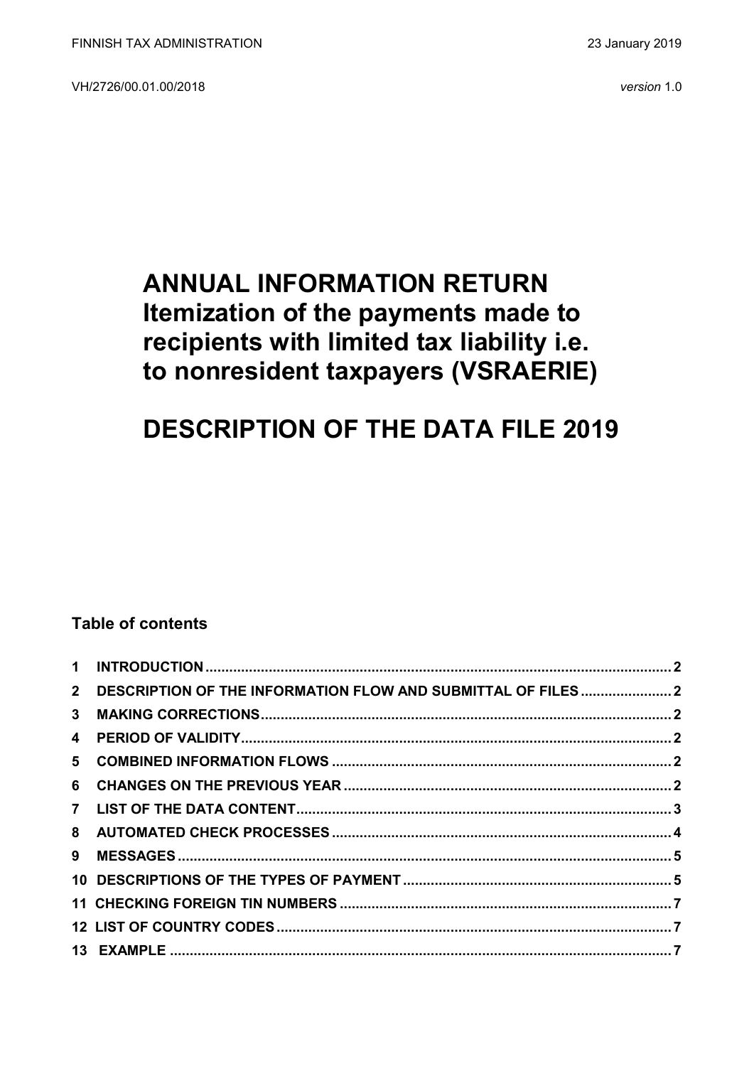VH/2726/00.01.00/2018 *version* 1.0

## **ANNUAL INFORMATION RETURN Itemization of the payments made to recipients with limited tax liability i.e. to nonresident taxpayers (VSRAERIE)**

# **DESCRIPTION OF THE DATA FILE 2019**

### **Table of contents**

|                | 2 DESCRIPTION OF THE INFORMATION FLOW AND SUBMITTAL OF FILES2 |  |
|----------------|---------------------------------------------------------------|--|
| 3 <sup>1</sup> |                                                               |  |
|                |                                                               |  |
|                |                                                               |  |
|                |                                                               |  |
|                |                                                               |  |
|                |                                                               |  |
|                |                                                               |  |
|                |                                                               |  |
|                |                                                               |  |
|                |                                                               |  |
|                |                                                               |  |
|                |                                                               |  |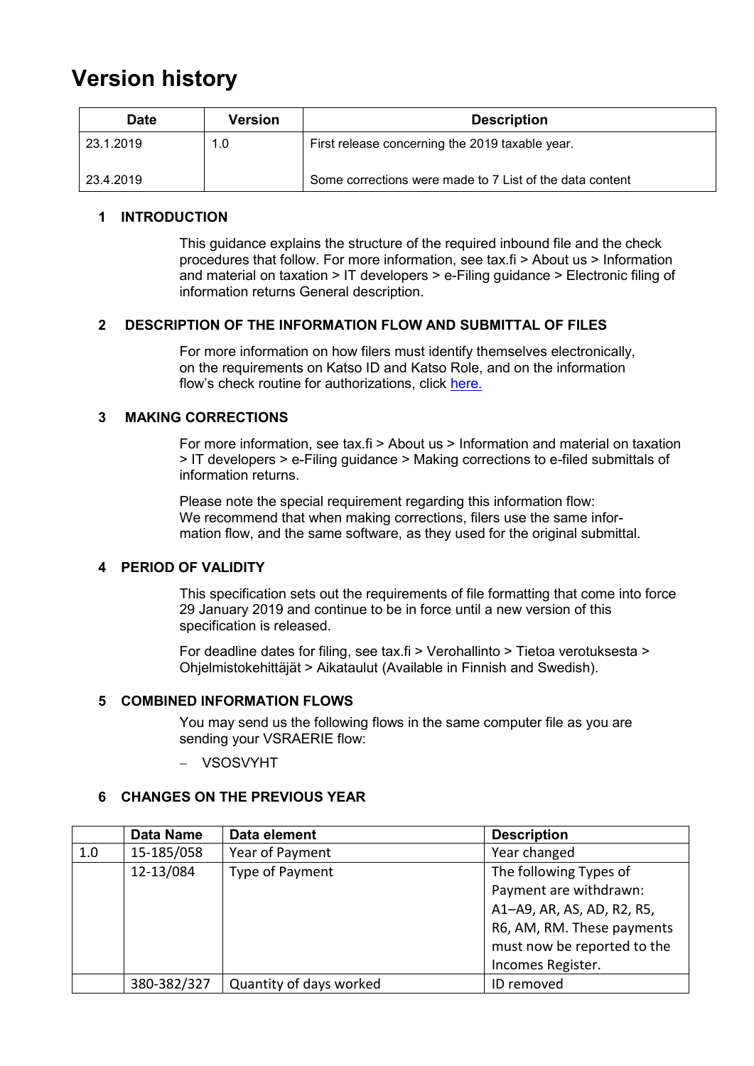## **Version history**

| <b>Date</b> | <b>Version</b> | <b>Description</b>                                       |
|-------------|----------------|----------------------------------------------------------|
| 23.1.2019   | 1.0            | First release concerning the 2019 taxable year.          |
| 23.4.2019   |                | Some corrections were made to 7 List of the data content |

#### <span id="page-1-0"></span>**1 INTRODUCTION**

This guidance explains the structure of the required inbound file and the check procedures that follow. For more information, see tax.fi > About us > Information and material on taxation > IT developers > e-Filing guidance > Electronic filing of information returns General description.

#### <span id="page-1-1"></span>**2 DESCRIPTION OF THE INFORMATION FLOW AND SUBMITTAL OF FILES**

For more information on how filers must identify themselves electronically, on the requirements on Katso ID and Katso Role, and on the information flow's check routine for authorizations, click [here.](https://www.ilmoitin.fi/webtamo/sivut/IlmoituslajiRoolit?kieli=en&tv=VSAPUUSE)

#### <span id="page-1-2"></span>**3 MAKING CORRECTIONS**

For more information, see tax.fi > About us > Information and material on taxation > IT developers > e-Filing guidance > Making corrections to e-filed submittals of information returns.

Please note the special requirement regarding this information flow: We recommend that when making corrections, filers use the same information flow, and the same software, as they used for the original submittal.

#### <span id="page-1-3"></span>**4 PERIOD OF VALIDITY**

This specification sets out the requirements of file formatting that come into force 29 January 2019 and continue to be in force until a new version of this specification is released.

For deadline dates for filing, see tax.fi > Verohallinto > Tietoa verotuksesta > Ohjelmistokehittäjät > Aikataulut (Available in Finnish and Swedish).

#### <span id="page-1-4"></span>**5 COMBINED INFORMATION FLOWS**

You may send us the following flows in the same computer file as you are sending your VSRAERIE flow:

VSOSVYHT

#### <span id="page-1-5"></span>**6 CHANGES ON THE PREVIOUS YEAR**

|     | <b>Data Name</b> | Data element            | <b>Description</b>          |
|-----|------------------|-------------------------|-----------------------------|
| 1.0 | 15-185/058       | Year of Payment         | Year changed                |
|     | 12-13/084        | Type of Payment         | The following Types of      |
|     |                  |                         | Payment are withdrawn:      |
|     |                  |                         | A1-A9, AR, AS, AD, R2, R5,  |
|     |                  |                         | R6, AM, RM. These payments  |
|     |                  |                         | must now be reported to the |
|     |                  |                         | Incomes Register.           |
|     | 380-382/327      | Quantity of days worked | ID removed                  |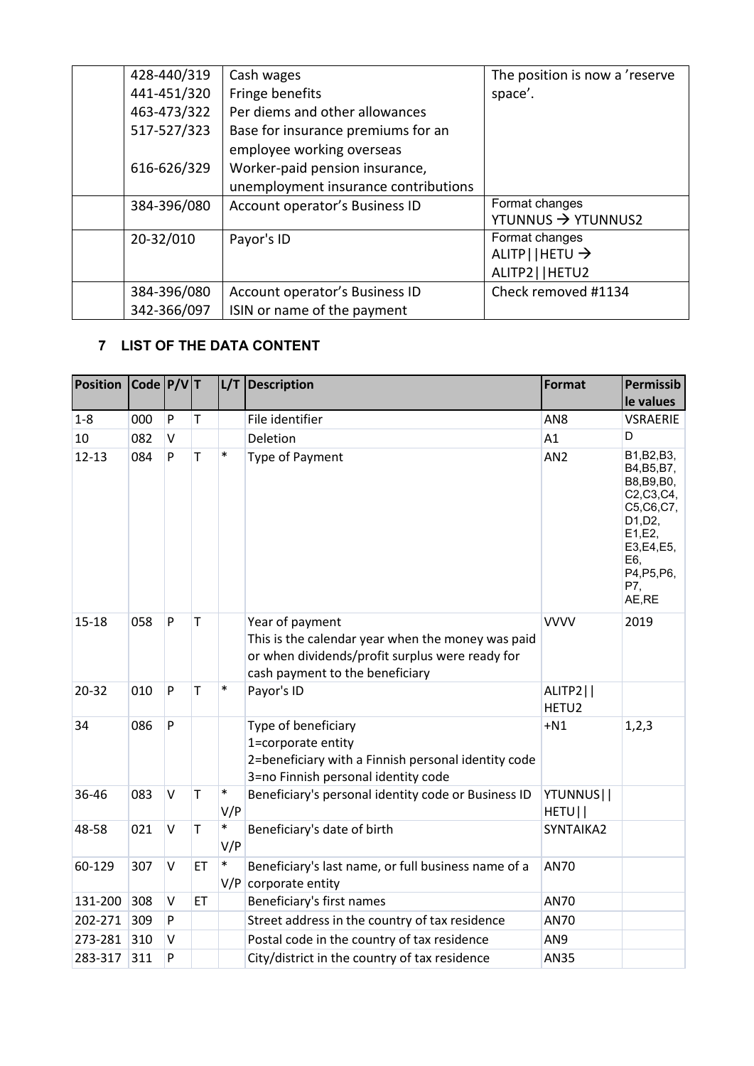| 428-440/319 | Cash wages                           | The position is now a 'reserve |
|-------------|--------------------------------------|--------------------------------|
| 441-451/320 | Fringe benefits                      | space'.                        |
| 463-473/322 | Per diems and other allowances       |                                |
| 517-527/323 | Base for insurance premiums for an   |                                |
|             | employee working overseas            |                                |
| 616-626/329 | Worker-paid pension insurance,       |                                |
|             | unemployment insurance contributions |                                |
| 384-396/080 | Account operator's Business ID       | Format changes                 |
|             |                                      | YTUNNUS $\rightarrow$ YTUNNUS2 |
| 20-32/010   | Payor's ID                           | Format changes                 |
|             |                                      | $ALITP$   HETU $\rightarrow$   |
|             |                                      | ALITP2     HETU2               |
| 384-396/080 | Account operator's Business ID       | Check removed #1134            |
| 342-366/097 | ISIN or name of the payment          |                                |

## <span id="page-2-0"></span>**7 LIST OF THE DATA CONTENT**

| <b>Position</b> | $\vert$ Code $\vert$ P/V $\vert$ T |              |              |               | L/T Description                                                                                                                                            | <b>Format</b>                 | <b>Permissib</b><br>le values                                                                                                                   |
|-----------------|------------------------------------|--------------|--------------|---------------|------------------------------------------------------------------------------------------------------------------------------------------------------------|-------------------------------|-------------------------------------------------------------------------------------------------------------------------------------------------|
| $1 - 8$         | 000                                | P            | $\mathsf{T}$ |               | File identifier                                                                                                                                            | AN <sub>8</sub>               | <b>VSRAERIE</b>                                                                                                                                 |
| 10              | 082                                | $\sf V$      |              |               | Deletion                                                                                                                                                   | A1                            | D                                                                                                                                               |
| $12 - 13$       | 084                                | P            | T            | $\ast$        | Type of Payment                                                                                                                                            | AN <sub>2</sub>               | B1, B2, B3,<br>B4, B5, B7,<br>B8, B9, B0,<br>C2, C3, C4,<br>C5, C6, C7,<br>D1, D2,<br>E1,E2,<br>E3,E4,E5,<br>E6,<br>P4, P5, P6,<br>P7,<br>AE,RE |
| $15 - 18$       | 058                                | P            | $\mathsf T$  |               | Year of payment<br>This is the calendar year when the money was paid<br>or when dividends/profit surplus were ready for<br>cash payment to the beneficiary | <b>VVVV</b>                   | 2019                                                                                                                                            |
| $20 - 32$       | 010                                | P            | T            | $\ast$        | Payor's ID                                                                                                                                                 | ALITP2  <br>HETU <sub>2</sub> |                                                                                                                                                 |
| 34              | 086                                | P            |              |               | Type of beneficiary<br>1=corporate entity<br>2=beneficiary with a Finnish personal identity code<br>3=no Finnish personal identity code                    | $+N1$                         | 1, 2, 3                                                                                                                                         |
| 36-46           | 083                                | $\vee$       | T            | $\ast$<br>V/P | Beneficiary's personal identity code or Business ID                                                                                                        | YTUNNUS  <br>HETU             |                                                                                                                                                 |
| 48-58           | 021                                | $\vee$       | T            | $\ast$<br>V/P | Beneficiary's date of birth                                                                                                                                | SYNTAIKA2                     |                                                                                                                                                 |
| 60-129          | 307                                | $\mathsf{V}$ | ET           | $\ast$<br>V/P | Beneficiary's last name, or full business name of a<br>corporate entity                                                                                    | <b>AN70</b>                   |                                                                                                                                                 |
| 131-200         | 308                                | $\sf V$      | ET           |               | Beneficiary's first names                                                                                                                                  | <b>AN70</b>                   |                                                                                                                                                 |
| 202-271         | 309                                | P            |              |               | Street address in the country of tax residence                                                                                                             | AN70                          |                                                                                                                                                 |
| 273-281         | 310                                | $\vee$       |              |               | Postal code in the country of tax residence                                                                                                                | AN9                           |                                                                                                                                                 |
| 283-317         | 311                                | P            |              |               | City/district in the country of tax residence                                                                                                              | <b>AN35</b>                   |                                                                                                                                                 |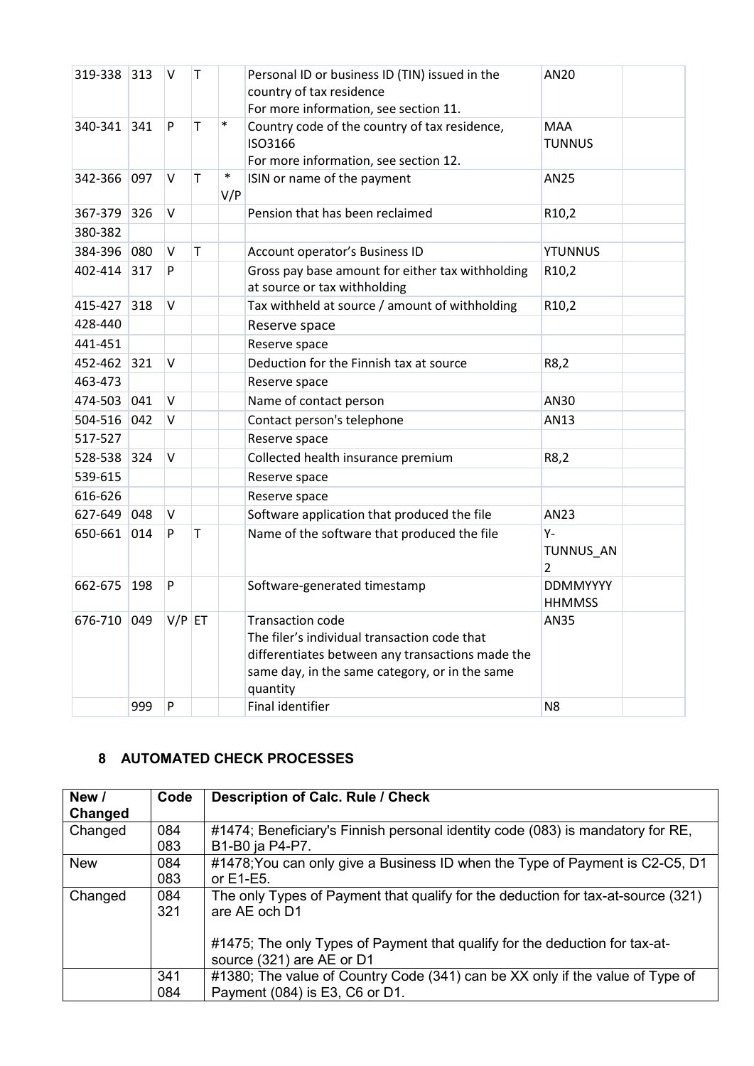| 319-338 313 |     | V        | T  |               | Personal ID or business ID (TIN) issued in the<br>country of tax residence<br>For more information, see section 11.                                                                       | AN20                                 |  |
|-------------|-----|----------|----|---------------|-------------------------------------------------------------------------------------------------------------------------------------------------------------------------------------------|--------------------------------------|--|
| 340-341 341 |     | P        | T. | $\ast$        | Country code of the country of tax residence,<br>ISO3166<br>For more information, see section 12.                                                                                         | <b>MAA</b><br><b>TUNNUS</b>          |  |
| 342-366 097 |     | V        | T  | $\ast$<br>V/P | ISIN or name of the payment                                                                                                                                                               | <b>AN25</b>                          |  |
| 367-379 326 |     | V        |    |               | Pension that has been reclaimed                                                                                                                                                           | R10,2                                |  |
| 380-382     |     |          |    |               |                                                                                                                                                                                           |                                      |  |
| 384-396 080 |     | $\vee$   | T. |               | Account operator's Business ID                                                                                                                                                            | <b>YTUNNUS</b>                       |  |
| 402-414 317 |     | P        |    |               | Gross pay base amount for either tax withholding<br>at source or tax withholding                                                                                                          | R10,2                                |  |
| 415-427 318 |     | V        |    |               | Tax withheld at source / amount of withholding                                                                                                                                            | R10,2                                |  |
| 428-440     |     |          |    |               | Reserve space                                                                                                                                                                             |                                      |  |
| 441-451     |     |          |    |               | Reserve space                                                                                                                                                                             |                                      |  |
| 452-462 321 |     | v        |    |               | Deduction for the Finnish tax at source                                                                                                                                                   | R8,2                                 |  |
| 463-473     |     |          |    |               | Reserve space                                                                                                                                                                             |                                      |  |
| 474-503 041 |     | $\vee$   |    |               | Name of contact person                                                                                                                                                                    | AN30                                 |  |
| 504-516 042 |     | V        |    |               | Contact person's telephone                                                                                                                                                                | AN13                                 |  |
| 517-527     |     |          |    |               | Reserve space                                                                                                                                                                             |                                      |  |
| 528-538 324 |     | V        |    |               | Collected health insurance premium                                                                                                                                                        | R8,2                                 |  |
| 539-615     |     |          |    |               | Reserve space                                                                                                                                                                             |                                      |  |
| 616-626     |     |          |    |               | Reserve space                                                                                                                                                                             |                                      |  |
| 627-649 048 |     | $\vee$   |    |               | Software application that produced the file                                                                                                                                               | AN23                                 |  |
| 650-661 014 |     | P        | т  |               | Name of the software that produced the file                                                                                                                                               | $Y -$<br>TUNNUS AN<br>$\overline{2}$ |  |
| 662-675     | 198 | P        |    |               | Software-generated timestamp                                                                                                                                                              | <b>DDMMYYYY</b><br><b>HHMMSS</b>     |  |
| 676-710 049 |     | $V/P$ ET |    |               | <b>Transaction code</b><br>The filer's individual transaction code that<br>differentiates between any transactions made the<br>same day, in the same category, or in the same<br>quantity | AN35                                 |  |
|             | 999 | P        |    |               | Final identifier                                                                                                                                                                          | N <sub>8</sub>                       |  |

### <span id="page-3-0"></span>**8 AUTOMATED CHECK PROCESSES**

| New /      | Code | <b>Description of Calc. Rule / Check</b>                                         |
|------------|------|----------------------------------------------------------------------------------|
| Changed    |      |                                                                                  |
| Changed    | 084  | #1474; Beneficiary's Finnish personal identity code (083) is mandatory for RE,   |
|            | 083  | B1-B0 ja P4-P7.                                                                  |
| <b>New</b> | 084  | #1478; You can only give a Business ID when the Type of Payment is C2-C5, D1     |
|            | 083  | or E1-E5.                                                                        |
| Changed    | 084  | The only Types of Payment that qualify for the deduction for tax-at-source (321) |
|            | 321  | are AE och D1                                                                    |
|            |      |                                                                                  |
|            |      | #1475; The only Types of Payment that qualify for the deduction for tax-at-      |
|            |      | source (321) are AE or D1                                                        |
|            | 341  | #1380; The value of Country Code (341) can be XX only if the value of Type of    |
|            | 084  | Payment (084) is E3, C6 or D1.                                                   |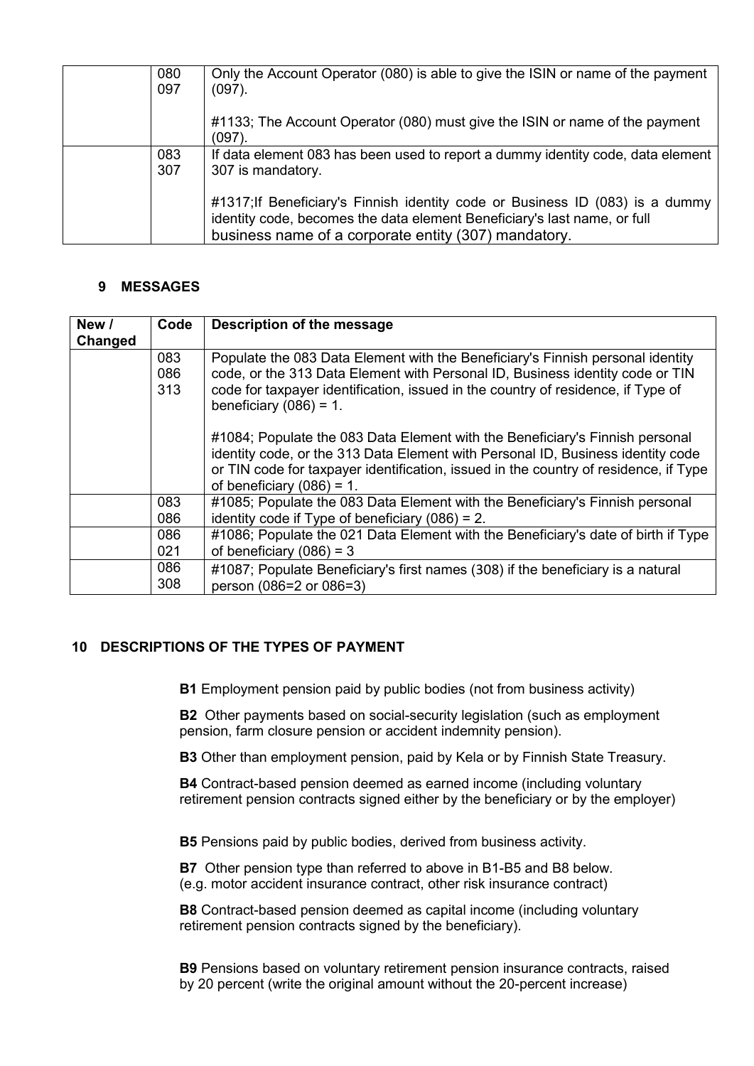| 080<br>097 | Only the Account Operator (080) is able to give the ISIN or name of the payment<br>$(097)$ .                                                                                                                      |
|------------|-------------------------------------------------------------------------------------------------------------------------------------------------------------------------------------------------------------------|
|            | #1133; The Account Operator (080) must give the ISIN or name of the payment<br>$(097)$ .                                                                                                                          |
| 083<br>307 | If data element 083 has been used to report a dummy identity code, data element<br>307 is mandatory.                                                                                                              |
|            | #1317; If Beneficiary's Finnish identity code or Business ID (083) is a dummy<br>identity code, becomes the data element Beneficiary's last name, or full<br>business name of a corporate entity (307) mandatory. |

#### <span id="page-4-0"></span>**9 MESSAGES**

| New /   | Code              | Description of the message                                                                                                                                                                                                                                                              |
|---------|-------------------|-----------------------------------------------------------------------------------------------------------------------------------------------------------------------------------------------------------------------------------------------------------------------------------------|
| Changed | 083<br>086<br>313 | Populate the 083 Data Element with the Beneficiary's Finnish personal identity<br>code, or the 313 Data Element with Personal ID, Business identity code or TIN<br>code for taxpayer identification, issued in the country of residence, if Type of<br>beneficiary $(086) = 1$ .        |
|         |                   | #1084; Populate the 083 Data Element with the Beneficiary's Finnish personal<br>identity code, or the 313 Data Element with Personal ID, Business identity code<br>or TIN code for taxpayer identification, issued in the country of residence, if Type<br>of beneficiary $(086) = 1$ . |
|         | 083               | #1085; Populate the 083 Data Element with the Beneficiary's Finnish personal                                                                                                                                                                                                            |
|         | 086<br>086<br>021 | identity code if Type of beneficiary $(086) = 2$ .<br>#1086; Populate the 021 Data Element with the Beneficiary's date of birth if Type<br>of beneficiary $(086) = 3$                                                                                                                   |
|         | 086<br>308        | #1087; Populate Beneficiary's first names (308) if the beneficiary is a natural<br>person (086=2 or 086=3)                                                                                                                                                                              |

#### <span id="page-4-1"></span>**10 DESCRIPTIONS OF THE TYPES OF PAYMENT**

**B1** Employment pension paid by public bodies (not from business activity)

**B2** Other payments based on social-security legislation (such as employment pension, farm closure pension or accident indemnity pension).

**B3** Other than employment pension, paid by Kela or by Finnish State Treasury.

**B4** Contract-based pension deemed as earned income (including voluntary retirement pension contracts signed either by the beneficiary or by the employer)

**B5** Pensions paid by public bodies, derived from business activity.

**B7** Other pension type than referred to above in B1-B5 and B8 below. (e.g. motor accident insurance contract, other risk insurance contract)

**B8** Contract-based pension deemed as capital income (including voluntary retirement pension contracts signed by the beneficiary).

**B9** Pensions based on voluntary retirement pension insurance contracts, raised by 20 percent (write the original amount without the 20-percent increase)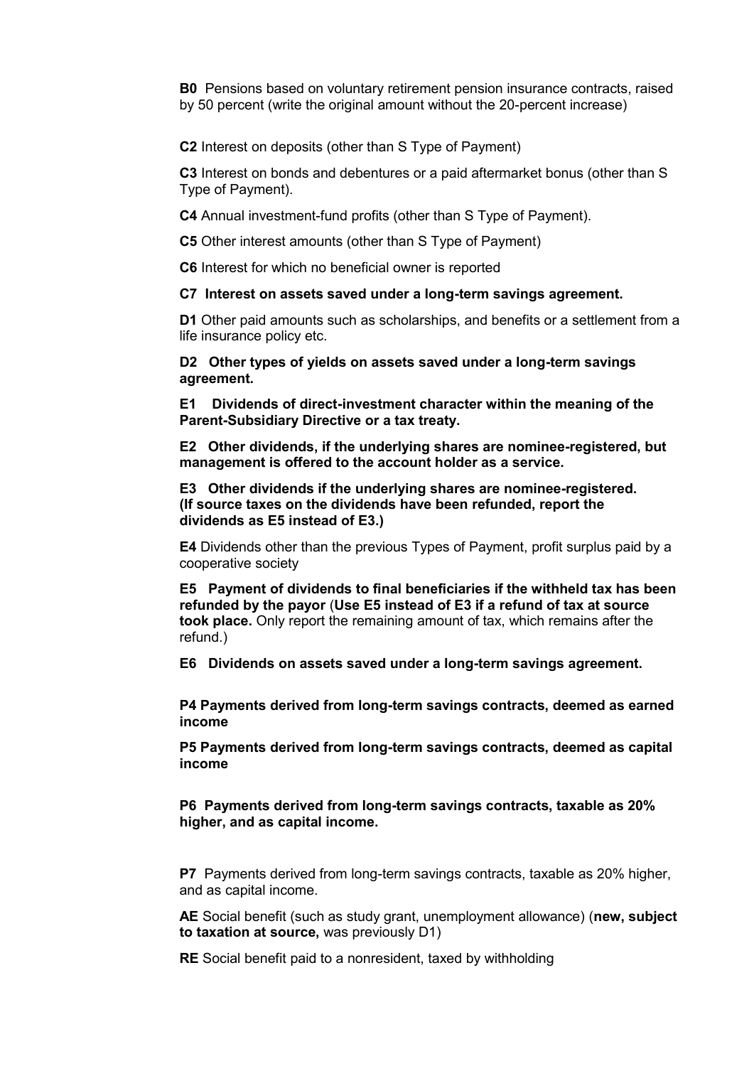**B0** Pensions based on voluntary retirement pension insurance contracts, raised by 50 percent (write the original amount without the 20-percent increase)

**C2** Interest on deposits (other than S Type of Payment)

**C3** Interest on bonds and debentures or a paid aftermarket bonus (other than S Type of Payment).

**C4** Annual investment-fund profits (other than S Type of Payment).

**C5** Other interest amounts (other than S Type of Payment)

**C6** Interest for which no beneficial owner is reported

**C7 Interest on assets saved under a long-term savings agreement.**

**D1** Other paid amounts such as scholarships, and benefits or a settlement from a life insurance policy etc.

**D2 Other types of yields on assets saved under a long-term savings agreement.**

**E1 Dividends of direct-investment character within the meaning of the Parent-Subsidiary Directive or a tax treaty.**

**E2 Other dividends, if the underlying shares are nominee-registered, but management is offered to the account holder as a service.**

**E3 Other dividends if the underlying shares are nominee-registered. (If source taxes on the dividends have been refunded, report the dividends as E5 instead of E3.)**

**E4** Dividends other than the previous Types of Payment, profit surplus paid by a cooperative society

**E5 Payment of dividends to final beneficiaries if the withheld tax has been refunded by the payor** (**Use E5 instead of E3 if a refund of tax at source took place.** Only report the remaining amount of tax, which remains after the refund.)

**E6 Dividends on assets saved under a long-term savings agreement.**

**P4 Payments derived from long-term savings contracts, deemed as earned income**

**P5 Payments derived from long-term savings contracts, deemed as capital income**

**P6 Payments derived from long-term savings contracts, taxable as 20% higher, and as capital income.** 

**P7** Payments derived from long-term savings contracts, taxable as 20% higher, and as capital income.

**AE** Social benefit (such as study grant, unemployment allowance) (**new, subject to taxation at source,** was previously D1)

**RE** Social benefit paid to a nonresident, taxed by withholding